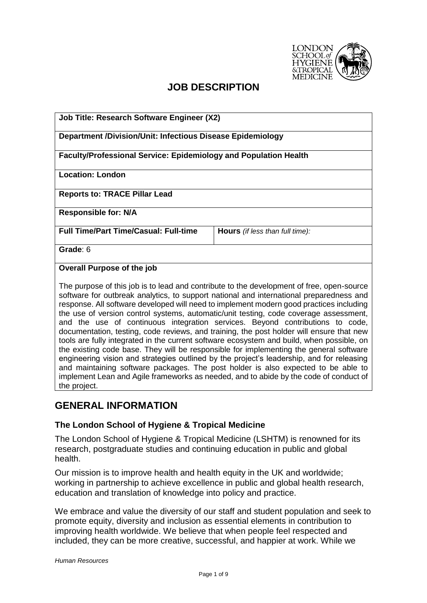

# **JOB DESCRIPTION**

| Job Title: Research Software Engineer (X2)                                                                                                                                           |                                        |  |  |
|--------------------------------------------------------------------------------------------------------------------------------------------------------------------------------------|----------------------------------------|--|--|
| <b>Department /Division/Unit: Infectious Disease Epidemiology</b>                                                                                                                    |                                        |  |  |
| <b>Faculty/Professional Service: Epidemiology and Population Health</b>                                                                                                              |                                        |  |  |
| <b>Location: London</b>                                                                                                                                                              |                                        |  |  |
| <b>Reports to: TRACE Pillar Lead</b>                                                                                                                                                 |                                        |  |  |
| <b>Responsible for: N/A</b>                                                                                                                                                          |                                        |  |  |
| <b>Full Time/Part Time/Casual: Full-time</b>                                                                                                                                         | <b>Hours</b> (if less than full time): |  |  |
| Grade: 6                                                                                                                                                                             |                                        |  |  |
| <b>Overall Purpose of the job</b>                                                                                                                                                    |                                        |  |  |
| The purpose of this job is to lead and contribute to the development of free, open-source<br>software for outbreak analytics, to support national and international preparedness and |                                        |  |  |

software for outbreak analytics, to support national and international preparedness and response. All software developed will need to implement modern good practices including the use of version control systems, automatic/unit testing, code coverage assessment, and the use of continuous integration services. Beyond contributions to code, documentation, testing, code reviews, and training, the post holder will ensure that new tools are fully integrated in the current software ecosystem and build, when possible, on the existing code base. They will be responsible for implementing the general software engineering vision and strategies outlined by the project's leadership, and for releasing and maintaining software packages. The post holder is also expected to be able to implement Lean and Agile frameworks as needed, and to abide by the code of conduct of the project.

## **GENERAL INFORMATION**

### **The London School of Hygiene & Tropical Medicine**

The London School of Hygiene & Tropical Medicine (LSHTM) is renowned for its research, postgraduate studies and continuing education in public and global health.

[Our mission](https://www.lshtm.ac.uk/aboutus/introducing/mission) is to improve health and health equity in the UK and worldwide; working in partnership to achieve excellence in public and global health research, education and translation of knowledge into policy and practice.

We embrace and value the diversity of our staff and student population and seek to promote equity, diversity and inclusion as essential elements in contribution to improving health worldwide. We believe that when people feel respected and included, they can be more creative, successful, and happier at work. While we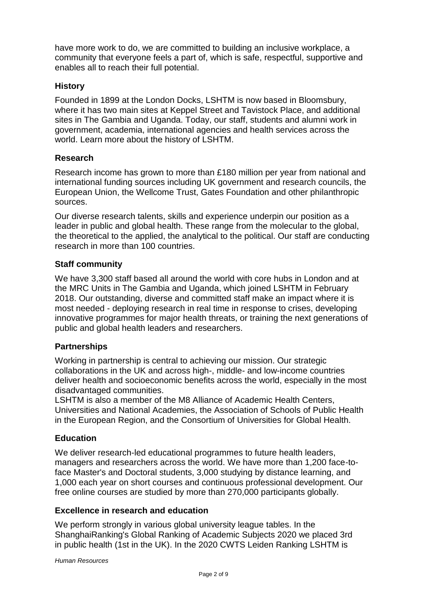have more work to do, we are committed to building an inclusive workplace, a community that everyone feels a part of, which is safe, respectful, supportive and enables all to reach their full potential.

### **History**

Founded in 1899 at the London Docks, LSHTM is now based in Bloomsbury, where it has two main sites at Keppel Street and Tavistock Place, and additional sites in The Gambia and Uganda. Today, our staff, students and alumni work in government, academia, international agencies and health services across the world. [Learn more about the history of LSHTM.](https://www.lshtm.ac.uk/aboutus/introducing/history)

### **Research**

Research income has grown to more than £180 million per year from national and international funding sources including UK government and research councils, the European Union, the Wellcome Trust, Gates Foundation and other philanthropic sources.

Our diverse research talents, skills and experience underpin our position as a leader in public and global health. These range from the molecular to the global, the theoretical to the applied, the analytical to the political. Our staff are conducting research in more than 100 countries.

## **Staff community**

We have 3,300 staff based all around the world with core hubs in London and at the MRC Units in The Gambia and Uganda, which joined LSHTM in February 2018. Our outstanding, diverse and committed staff make an impact where it is most needed - deploying research in real time in response to crises, developing innovative programmes for major health threats, or training the next generations of public and global health leaders and researchers.

### **Partnerships**

Working in partnership is central to achieving our mission. Our [strategic](https://www.lshtm.ac.uk/research/global-partnerships)  [collaborations](https://www.lshtm.ac.uk/research/global-partnerships) in the UK and across high-, middle- and low-income countries deliver health and socioeconomic benefits across the world, especially in the most disadvantaged communities.

LSHTM is also a member of the M8 Alliance of Academic Health Centers, Universities and National Academies, the Association of Schools of Public Health in the European Region, and the Consortium of Universities for Global Health.

### **Education**

We deliver research-led educational programmes to future health leaders, managers and researchers across the world. We have more than 1,200 face-toface Master's and Doctoral students, 3,000 studying by distance learning, and 1,000 each year on short courses and continuous professional development. Our free online courses are studied by more than 270,000 participants globally.

### **Excellence in research and education**

We perform strongly in various global university league tables. In the ShanghaiRanking's Global Ranking of Academic Subjects 2020 we placed 3rd in [public health](http://www.shanghairanking.com/shanghairanking-subject-rankings/public-health.html) (1st in the UK). In the [2020 CWTS Leiden Ranking](https://www.leidenranking.com/Ranking/University2020?universityId=320&fieldId=1&periodId=10&fractionalCounting=1&performanceDimension=0&rankingIndicator=pp_top10&minNPubs=100) LSHTM is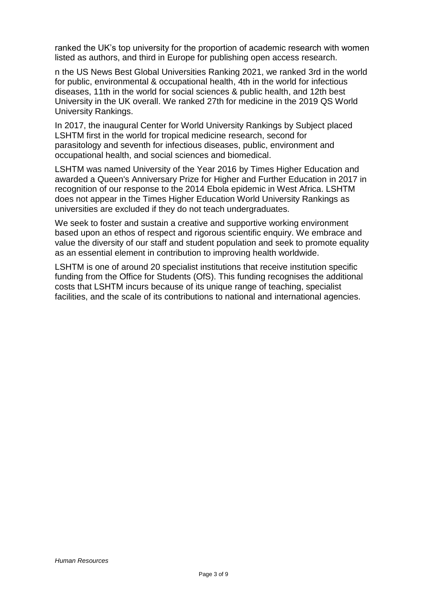ranked the UK's top university for the proportion of academic research with women listed as authors, and third in Europe for publishing open access research.

n the US News Best Global Universities Ranking 2021, we ranked [3rd in the world](https://www.usnews.com/education/best-global-universities/public-environmental-occupational-health)  [for public, environmental & occupational health,](https://www.usnews.com/education/best-global-universities/public-environmental-occupational-health) [4th in the world for infectious](https://www.usnews.com/education/best-global-universities/infectious-diseases)  [diseases,](https://www.usnews.com/education/best-global-universities/infectious-diseases) [11th in the world for social sciences & public health,](https://www.usnews.com/education/best-global-universities/social-sciences-public-health) and [12th best](https://www.usnews.com/education/best-global-universities/united-kingdom)  [University in the UK overall.](https://www.usnews.com/education/best-global-universities/united-kingdom) We ranked 27th [for medicine](https://www.topuniversities.com/university-rankings/university-subject-rankings/2019/medicine) in the 2019 QS World University Rankings.

In 2017, the inaugural Center for World University Rankings by Subject placed LSHTM [first in the world for tropical medicine](http://cwur.org/2017/subjects.php#Tropical%20Medicine) research, [second for](http://cwur.org/2017/subjects.php#Parasitology)  [parasitology](http://cwur.org/2017/subjects.php#Parasitology) and seventh for [infectious diseases,](http://cwur.org/2017/subjects.php#Infectious%20Diseases) [public, environment and](http://cwur.org/2017/subjects.php#Public,%20Environmental%20&%20Occupational%20Health)  [occupational health,](http://cwur.org/2017/subjects.php#Public,%20Environmental%20&%20Occupational%20Health) and social sciences [and biomedical.](http://cwur.org/2017/subjects.php#Social%20Sciences,%20Biomedical)

LSHTM was named [University of the Year 2016](https://www.lshtm.ac.uk/newsevents/news/2016/university_of_year_2016.html) by Times Higher Education and awarded a [Queen's Anniversary Prize for Higher and Further Education](https://www.lshtm.ac.uk/newsevents/news/2017/queens-anniversary-prize-awarded-recognition-our-response-ebola-epidemic) in 2017 in recognition of our response to the 2014 Ebola epidemic in West Africa. LSHTM does not appear in the Times Higher Education World University Rankings as universities are excluded if they do not teach undergraduates.

We seek to foster and sustain a creative and supportive working environment based upon an ethos of respect and rigorous scientific enquiry. We embrace and value the diversity of our staff and student population and seek to promote equality as an essential element in contribution to improving health worldwide.

LSHTM is one of around 20 specialist institutions that receive institution specific funding from the [Office for Students](https://www.officeforstudents.org.uk/) (OfS). This funding recognises the additional costs that LSHTM incurs because of its unique range of teaching, specialist facilities, and the scale of its contributions to national and international agencies.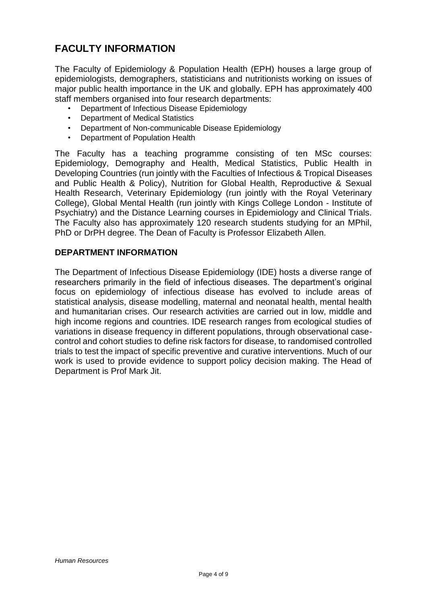# **FACULTY INFORMATION**

The Faculty of Epidemiology & Population Health (EPH) houses a large group of epidemiologists, demographers, statisticians and nutritionists working on issues of major public health importance in the UK and globally. EPH has approximately 400 staff members organised into four research departments:

- Department of Infectious Disease Epidemiology
- Department of Medical Statistics
- Department of Non-communicable Disease Epidemiology
- Department of Population Health

The Faculty has a teaching programme consisting of ten MSc courses: Epidemiology, Demography and Health, Medical Statistics, Public Health in Developing Countries (run jointly with the Faculties of Infectious & Tropical Diseases and Public Health & Policy), Nutrition for Global Health, Reproductive & Sexual Health Research, Veterinary Epidemiology (run jointly with the Royal Veterinary College), Global Mental Health (run jointly with Kings College London - Institute of Psychiatry) and the Distance Learning courses in Epidemiology and Clinical Trials. The Faculty also has approximately 120 research students studying for an MPhil, PhD or DrPH degree. The Dean of Faculty is Professor Elizabeth Allen.

### **DEPARTMENT INFORMATION**

The Department of Infectious Disease Epidemiology (IDE) hosts a diverse range of researchers primarily in the field of infectious diseases. The department's original focus on epidemiology of infectious disease has evolved to include areas of statistical analysis, disease modelling, maternal and neonatal health, mental health and humanitarian crises. Our research activities are carried out in low, middle and high income regions and countries. IDE research ranges from ecological studies of variations in disease frequency in different populations, through observational casecontrol and cohort studies to define risk factors for disease, to randomised controlled trials to test the impact of specific preventive and curative interventions. Much of our work is used to provide evidence to support policy decision making. The Head of Department is Prof Mark Jit.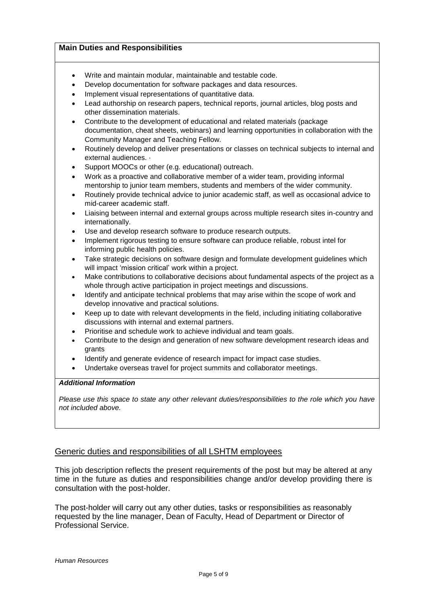#### **Main Duties and Responsibilities**

- Write and maintain modular, maintainable and testable code.
- Develop documentation for software packages and data resources.
- Implement visual representations of quantitative data.
- Lead authorship on research papers, technical reports, journal articles, blog posts and other dissemination materials.
- Contribute to the development of educational and related materials (package documentation, cheat sheets, webinars) and learning opportunities in collaboration with the Community Manager and Teaching Fellow.
- Routinely develop and deliver presentations or classes on technical subjects to internal and external audiences. ·
- Support MOOCs or other (e.g. educational) outreach.
- Work as a proactive and collaborative member of a wider team, providing informal mentorship to junior team members, students and members of the wider community.
- Routinely provide technical advice to junior academic staff, as well as occasional advice to mid-career academic staff.
- Liaising between internal and external groups across multiple research sites in-country and internationally.
- Use and develop research software to produce research outputs.
- Implement rigorous testing to ensure software can produce reliable, robust intel for informing public health policies.
- Take strategic decisions on software design and formulate development guidelines which will impact 'mission critical' work within a project.
- Make contributions to collaborative decisions about fundamental aspects of the project as a whole through active participation in project meetings and discussions.
- Identify and anticipate technical problems that may arise within the scope of work and develop innovative and practical solutions.
- Keep up to date with relevant developments in the field, including initiating collaborative discussions with internal and external partners.
- Prioritise and schedule work to achieve individual and team goals.
- Contribute to the design and generation of new software development research ideas and grants
- Identify and generate evidence of research impact for impact case studies.
- Undertake overseas travel for project summits and collaborator meetings.

#### *Additional Information*

*Please use this space to state any other relevant duties/responsibilities to the role which you have not included above.* 

### Generic duties and responsibilities of all LSHTM employees

This job description reflects the present requirements of the post but may be altered at any time in the future as duties and responsibilities change and/or develop providing there is consultation with the post-holder.

The post-holder will carry out any other duties, tasks or responsibilities as reasonably requested by the line manager, Dean of Faculty, Head of Department or Director of Professional Service.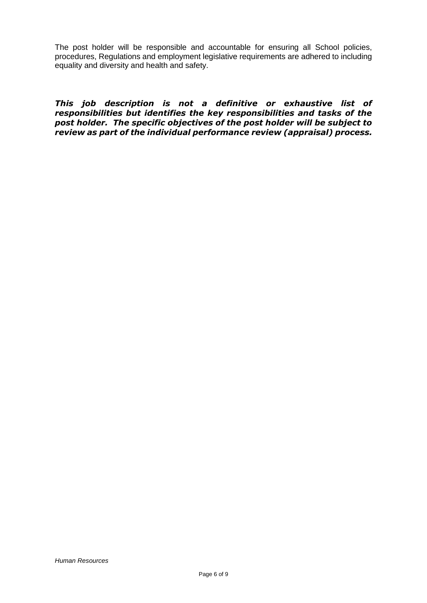The post holder will be responsible and accountable for ensuring all School policies, procedures, Regulations and employment legislative requirements are adhered to including equality and diversity and health and safety.

*This job description is not a definitive or exhaustive list of responsibilities but identifies the key responsibilities and tasks of the post holder. The specific objectives of the post holder will be subject to review as part of the individual performance review (appraisal) process.*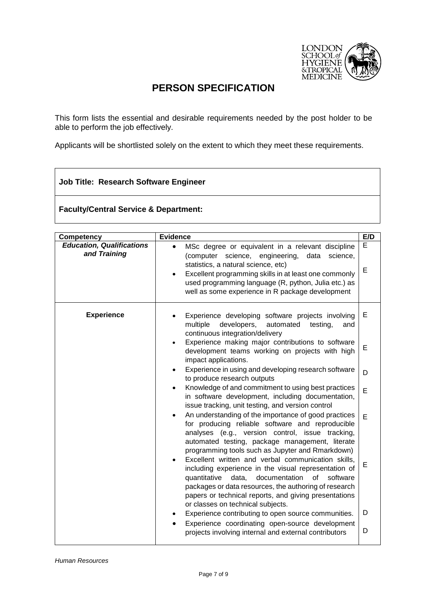

## **PERSON SPECIFICATION**

This form lists the essential and desirable requirements needed by the post holder to be able to perform the job effectively.

Applicants will be shortlisted solely on the extent to which they meet these requirements.

### **Job Title: Research Software Engineer**

**Faculty/Central Service & Department:**

| <b>Competency</b>                                | <b>Evidence</b>                                                                                                                                                                                                                                                                                                                      | E/D    |
|--------------------------------------------------|--------------------------------------------------------------------------------------------------------------------------------------------------------------------------------------------------------------------------------------------------------------------------------------------------------------------------------------|--------|
| <b>Education, Qualifications</b><br>and Training | MSc degree or equivalent in a relevant discipline<br>$\bullet$<br>(computer science,<br>engineering,<br>data<br>science,<br>statistics, a natural science, etc)<br>Excellent programming skills in at least one commonly<br>used programming language (R, python, Julia etc.) as<br>well as some experience in R package development | E<br>E |
| <b>Experience</b>                                | Experience developing software projects involving<br>multiple<br>developers,<br>automated<br>testing,<br>and<br>continuous integration/delivery                                                                                                                                                                                      | E      |
|                                                  | Experience making major contributions to software<br>development teams working on projects with high<br>impact applications.                                                                                                                                                                                                         | E      |
|                                                  | Experience in using and developing research software<br>$\bullet$<br>to produce research outputs                                                                                                                                                                                                                                     | D      |
|                                                  | Knowledge of and commitment to using best practices<br>in software development, including documentation,<br>issue tracking, unit testing, and version control                                                                                                                                                                        | E      |
|                                                  | An understanding of the importance of good practices<br>for producing reliable software and reproducible<br>analyses (e.g., version control, issue tracking,<br>automated testing, package management, literate<br>programming tools such as Jupyter and Rmarkdown)                                                                  | E      |
|                                                  | Excellent written and verbal communication skills,<br>including experience in the visual representation of<br>quantitative<br>data,<br>documentation<br>οf<br>software<br>packages or data resources, the authoring of research<br>papers or technical reports, and giving presentations<br>or classes on technical subjects.        | E      |
|                                                  | Experience contributing to open source communities.                                                                                                                                                                                                                                                                                  | D      |
|                                                  | Experience coordinating open-source development<br>projects involving internal and external contributors                                                                                                                                                                                                                             | D      |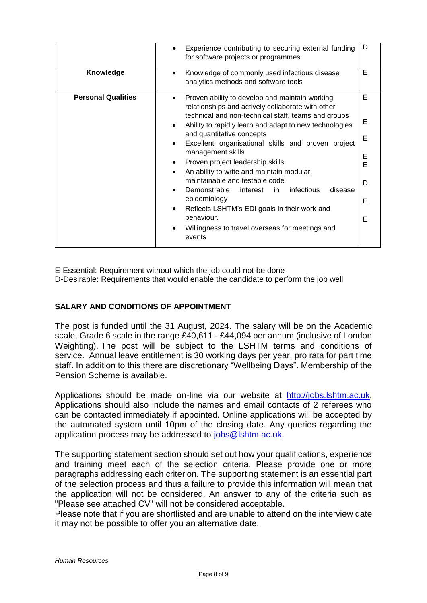|                           | Experience contributing to securing external funding<br>for software projects or programmes                                                                                                                                                                                                                                                                                                                                                                                                                                                                                                                                                                                                          | D                                    |
|---------------------------|------------------------------------------------------------------------------------------------------------------------------------------------------------------------------------------------------------------------------------------------------------------------------------------------------------------------------------------------------------------------------------------------------------------------------------------------------------------------------------------------------------------------------------------------------------------------------------------------------------------------------------------------------------------------------------------------------|--------------------------------------|
| Knowledge                 | Knowledge of commonly used infectious disease<br>analytics methods and software tools                                                                                                                                                                                                                                                                                                                                                                                                                                                                                                                                                                                                                | Е                                    |
| <b>Personal Qualities</b> | Proven ability to develop and maintain working<br>$\bullet$<br>relationships and actively collaborate with other<br>technical and non-technical staff, teams and groups<br>Ability to rapidly learn and adapt to new technologies<br>٠<br>and quantitative concepts<br>Excellent organisational skills and proven project<br>management skills<br>Proven project leadership skills<br>٠<br>An ability to write and maintain modular,<br>$\bullet$<br>maintainable and testable code<br>Demonstrable interest<br>infectious<br>disease<br>in.<br>epidemiology<br>Reflects LSHTM's EDI goals in their work and<br>$\bullet$<br>behaviour.<br>Willingness to travel overseas for meetings and<br>events | Е<br>Е<br>E<br>E<br>Ė<br>D<br>Е<br>Е |

E-Essential: Requirement without which the job could not be done

D-Desirable: Requirements that would enable the candidate to perform the job well

### **SALARY AND CONDITIONS OF APPOINTMENT**

The post is funded until the 31 August, 2024. The salary will be on the Academic scale, Grade 6 scale in the range £40,611 - £44,094 per annum (inclusive of London Weighting). The post will be subject to the LSHTM terms and conditions of service. Annual leave entitlement is 30 working days per year, pro rata for part time staff. In addition to this there are discretionary "Wellbeing Days". Membership of the Pension Scheme is available.

Applications should be made on-line via our website at [http://jobs.lshtm.ac.uk.](http://jobs.lshtm.ac.uk/) Applications should also include the names and email contacts of 2 referees who can be contacted immediately if appointed. Online applications will be accepted by the automated system until 10pm of the closing date. Any queries regarding the application process may be addressed to [jobs@lshtm.ac.uk.](mailto:jobs@lshtm.ac.uk)

The supporting statement section should set out how your qualifications, experience and training meet each of the selection criteria. Please provide one or more paragraphs addressing each criterion. The supporting statement is an essential part of the selection process and thus a failure to provide this information will mean that the application will not be considered. An answer to any of the criteria such as "Please see attached CV" will not be considered acceptable.

Please note that if you are shortlisted and are unable to attend on the interview date it may not be possible to offer you an alternative date.